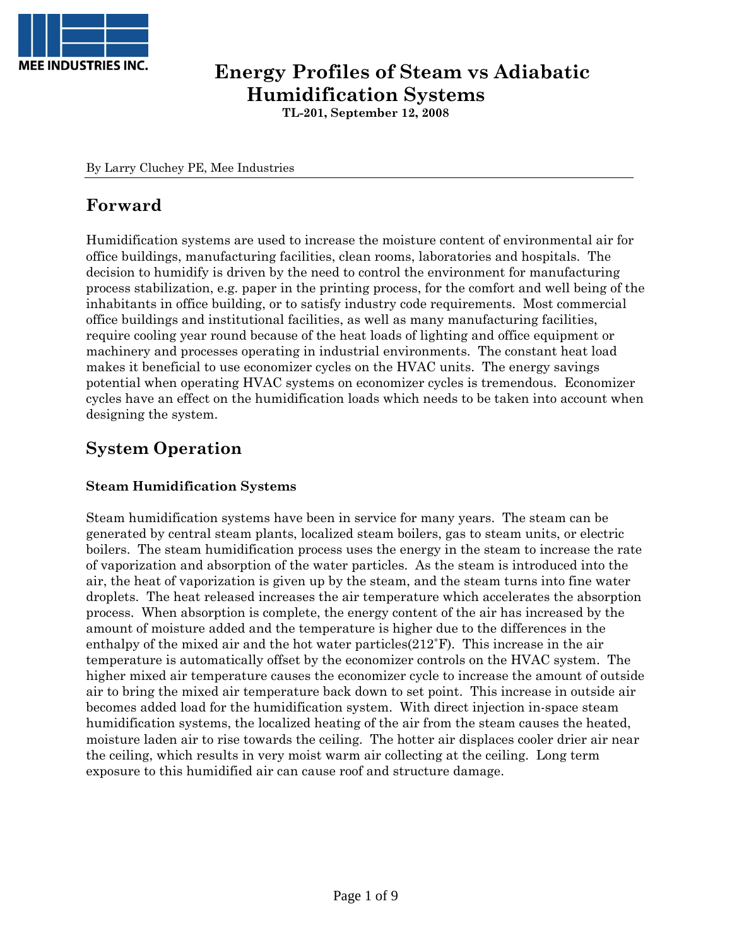

## **Energy Profiles of Steam vs Adiabatic Humidification Systems**

**TL-201, September 12, 2008** 

By Larry Cluchey PE, Mee Industries

## **Forward**

Humidification systems are used to increase the moisture content of environmental air for office buildings, manufacturing facilities, clean rooms, laboratories and hospitals. The decision to humidify is driven by the need to control the environment for manufacturing process stabilization, e.g. paper in the printing process, for the comfort and well being of the inhabitants in office building, or to satisfy industry code requirements. Most commercial office buildings and institutional facilities, as well as many manufacturing facilities, require cooling year round because of the heat loads of lighting and office equipment or machinery and processes operating in industrial environments. The constant heat load makes it beneficial to use economizer cycles on the HVAC units. The energy savings potential when operating HVAC systems on economizer cycles is tremendous. Economizer cycles have an effect on the humidification loads which needs to be taken into account when designing the system.

## **System Operation**

## **Steam Humidification Systems**

Steam humidification systems have been in service for many years. The steam can be generated by central steam plants, localized steam boilers, gas to steam units, or electric boilers. The steam humidification process uses the energy in the steam to increase the rate of vaporization and absorption of the water particles. As the steam is introduced into the air, the heat of vaporization is given up by the steam, and the steam turns into fine water droplets. The heat released increases the air temperature which accelerates the absorption process. When absorption is complete, the energy content of the air has increased by the amount of moisture added and the temperature is higher due to the differences in the enthalpy of the mixed air and the hot water particles(212˚F). This increase in the air temperature is automatically offset by the economizer controls on the HVAC system. The higher mixed air temperature causes the economizer cycle to increase the amount of outside air to bring the mixed air temperature back down to set point. This increase in outside air becomes added load for the humidification system. With direct injection in-space steam humidification systems, the localized heating of the air from the steam causes the heated, moisture laden air to rise towards the ceiling. The hotter air displaces cooler drier air near the ceiling, which results in very moist warm air collecting at the ceiling. Long term exposure to this humidified air can cause roof and structure damage.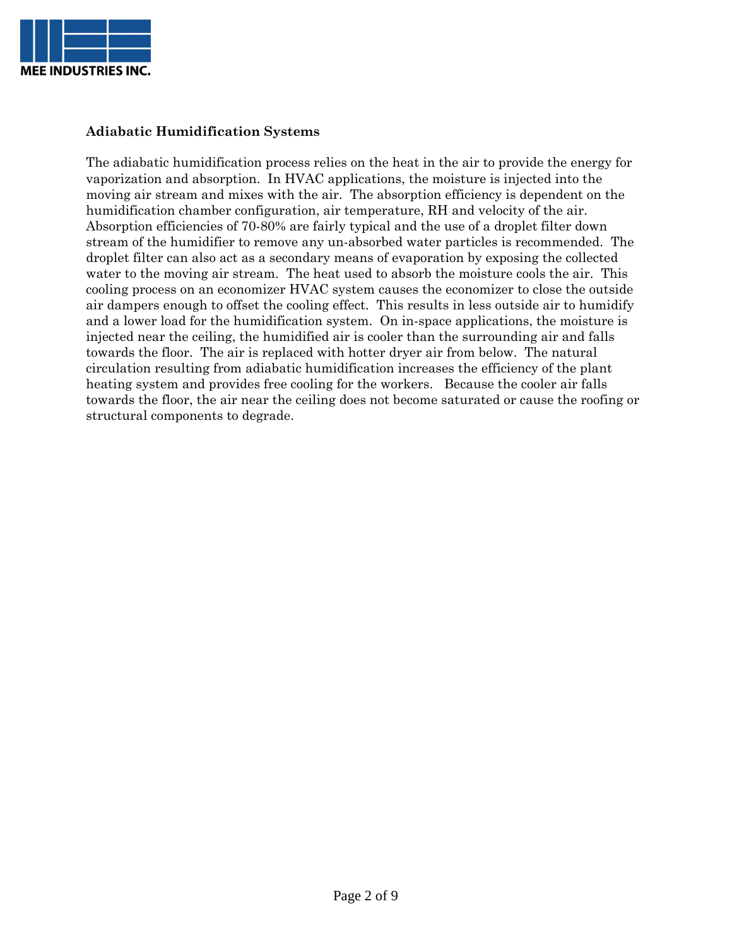

## **Adiabatic Humidification Systems**

The adiabatic humidification process relies on the heat in the air to provide the energy for vaporization and absorption. In HVAC applications, the moisture is injected into the moving air stream and mixes with the air. The absorption efficiency is dependent on the humidification chamber configuration, air temperature, RH and velocity of the air. Absorption efficiencies of 70-80% are fairly typical and the use of a droplet filter down stream of the humidifier to remove any un-absorbed water particles is recommended. The droplet filter can also act as a secondary means of evaporation by exposing the collected water to the moving air stream. The heat used to absorb the moisture cools the air. This cooling process on an economizer HVAC system causes the economizer to close the outside air dampers enough to offset the cooling effect. This results in less outside air to humidify and a lower load for the humidification system. On in-space applications, the moisture is injected near the ceiling, the humidified air is cooler than the surrounding air and falls towards the floor. The air is replaced with hotter dryer air from below. The natural circulation resulting from adiabatic humidification increases the efficiency of the plant heating system and provides free cooling for the workers. Because the cooler air falls towards the floor, the air near the ceiling does not become saturated or cause the roofing or structural components to degrade.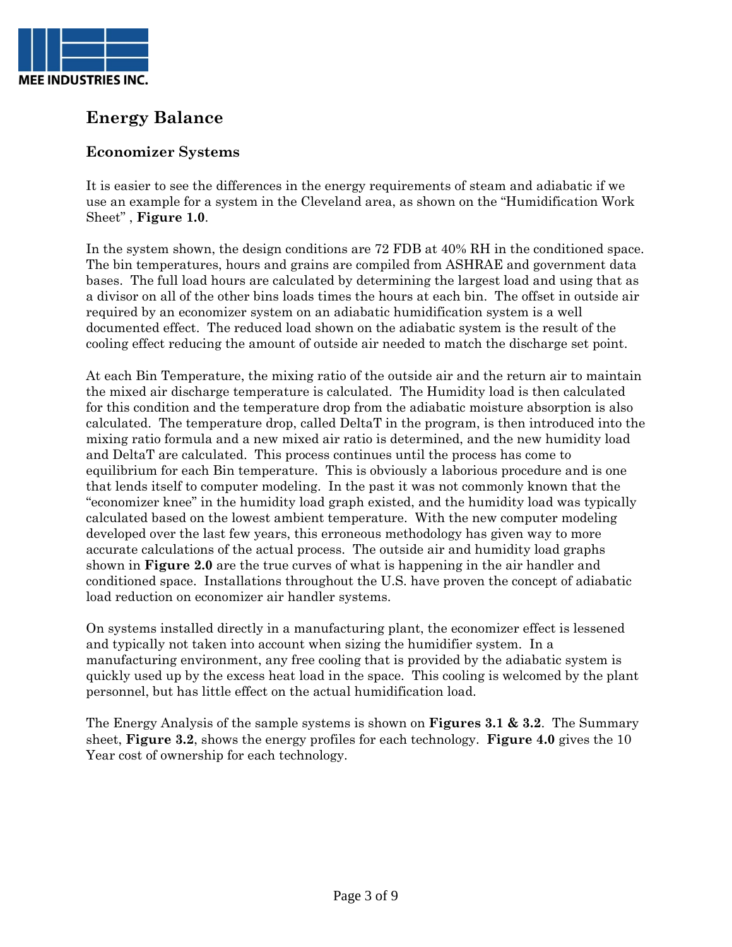

## **Energy Balance**

## **Economizer Systems**

It is easier to see the differences in the energy requirements of steam and adiabatic if we use an example for a system in the Cleveland area, as shown on the "Humidification Work Sheet" , **Figure 1.0**.

In the system shown, the design conditions are 72 FDB at 40% RH in the conditioned space. The bin temperatures, hours and grains are compiled from ASHRAE and government data bases. The full load hours are calculated by determining the largest load and using that as a divisor on all of the other bins loads times the hours at each bin. The offset in outside air required by an economizer system on an adiabatic humidification system is a well documented effect. The reduced load shown on the adiabatic system is the result of the cooling effect reducing the amount of outside air needed to match the discharge set point.

At each Bin Temperature, the mixing ratio of the outside air and the return air to maintain the mixed air discharge temperature is calculated. The Humidity load is then calculated for this condition and the temperature drop from the adiabatic moisture absorption is also calculated. The temperature drop, called DeltaT in the program, is then introduced into the mixing ratio formula and a new mixed air ratio is determined, and the new humidity load and DeltaT are calculated. This process continues until the process has come to equilibrium for each Bin temperature. This is obviously a laborious procedure and is one that lends itself to computer modeling. In the past it was not commonly known that the "economizer knee" in the humidity load graph existed, and the humidity load was typically calculated based on the lowest ambient temperature. With the new computer modeling developed over the last few years, this erroneous methodology has given way to more accurate calculations of the actual process. The outside air and humidity load graphs shown in **Figure 2.0** are the true curves of what is happening in the air handler and conditioned space. Installations throughout the U.S. have proven the concept of adiabatic load reduction on economizer air handler systems.

On systems installed directly in a manufacturing plant, the economizer effect is lessened and typically not taken into account when sizing the humidifier system. In a manufacturing environment, any free cooling that is provided by the adiabatic system is quickly used up by the excess heat load in the space. This cooling is welcomed by the plant personnel, but has little effect on the actual humidification load.

The Energy Analysis of the sample systems is shown on **Figures 3.1 & 3.2**. The Summary sheet, **Figure 3.2**, shows the energy profiles for each technology. **Figure 4.0** gives the 10 Year cost of ownership for each technology.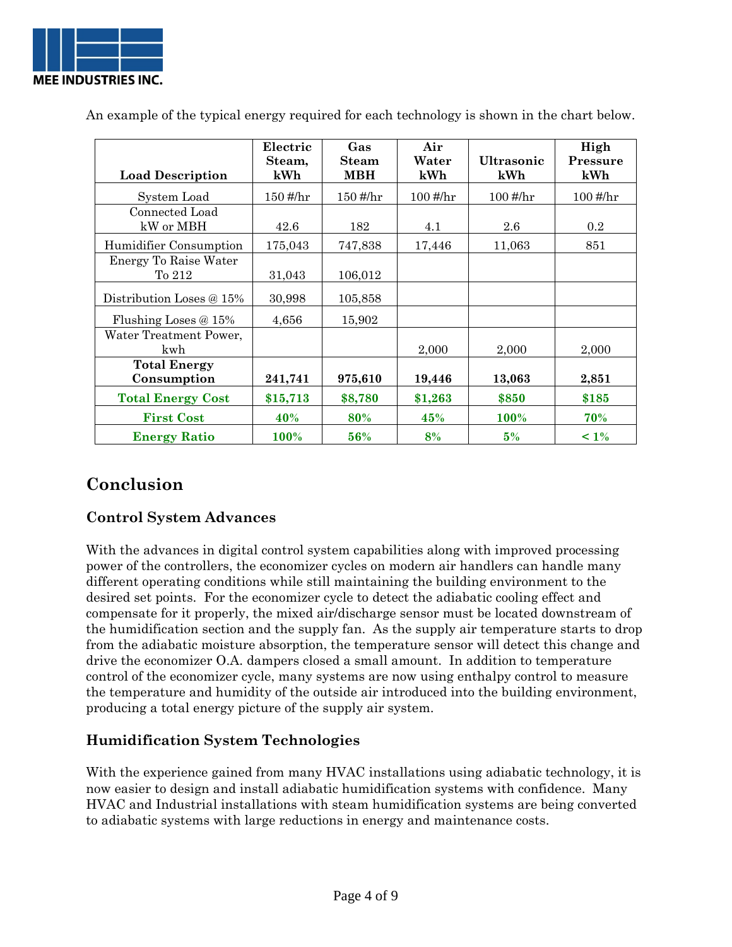

|                          | Electric                          | Gas          | Air        |                                  | High                              |
|--------------------------|-----------------------------------|--------------|------------|----------------------------------|-----------------------------------|
|                          | Steam,                            | <b>Steam</b> | Water      | <b>Ultrasonic</b>                | Pressure                          |
| <b>Load Description</b>  | kWh                               | <b>MBH</b>   | kWh        | kWh                              | kWh                               |
|                          |                                   |              |            |                                  |                                   |
| System Load              | $150 \frac{\text{\#}}{\text{hr}}$ | $150$ #/hr   | $100$ #/hr | $100 \frac{\text{H}}{\text{hr}}$ | $100 \frac{\text{\#}}{\text{hr}}$ |
| Connected Load           |                                   |              |            |                                  |                                   |
| kW or MBH                | 42.6                              | 182          | 4.1        | 2.6                              | 0.2                               |
| Humidifier Consumption   | 175,043                           | 747,838      | 17,446     | 11,063                           | 851                               |
| Energy To Raise Water    |                                   |              |            |                                  |                                   |
| To 212                   | 31,043                            | 106,012      |            |                                  |                                   |
|                          |                                   |              |            |                                  |                                   |
| Distribution Loses @ 15% | 30,998                            | 105,858      |            |                                  |                                   |
| Flushing Loses $@15\%$   | 4,656                             | 15,902       |            |                                  |                                   |
| Water Treatment Power,   |                                   |              |            |                                  |                                   |
| kwh                      |                                   |              | 2,000      | 2,000                            | 2,000                             |
| <b>Total Energy</b>      |                                   |              |            |                                  |                                   |
| Consumption              | 241,741                           | 975,610      | 19,446     | 13,063                           | 2,851                             |
| <b>Total Energy Cost</b> | \$15,713                          | \$8,780      | \$1,263    | \$850                            | \$185                             |
| <b>First Cost</b>        | 40%                               | 80%          | 45%        | <b>100%</b>                      | 70%                               |
| <b>Energy Ratio</b>      | 100%                              | 56%          | 8%         | 5%                               | $~1\%$                            |

An example of the typical energy required for each technology is shown in the chart below.

## **Conclusion**

## **Control System Advances**

With the advances in digital control system capabilities along with improved processing power of the controllers, the economizer cycles on modern air handlers can handle many different operating conditions while still maintaining the building environment to the desired set points. For the economizer cycle to detect the adiabatic cooling effect and compensate for it properly, the mixed air/discharge sensor must be located downstream of the humidification section and the supply fan. As the supply air temperature starts to drop from the adiabatic moisture absorption, the temperature sensor will detect this change and drive the economizer O.A. dampers closed a small amount. In addition to temperature control of the economizer cycle, many systems are now using enthalpy control to measure the temperature and humidity of the outside air introduced into the building environment, producing a total energy picture of the supply air system.

## **Humidification System Technologies**

With the experience gained from many HVAC installations using adiabatic technology, it is now easier to design and install adiabatic humidification systems with confidence. Many HVAC and Industrial installations with steam humidification systems are being converted to adiabatic systems with large reductions in energy and maintenance costs.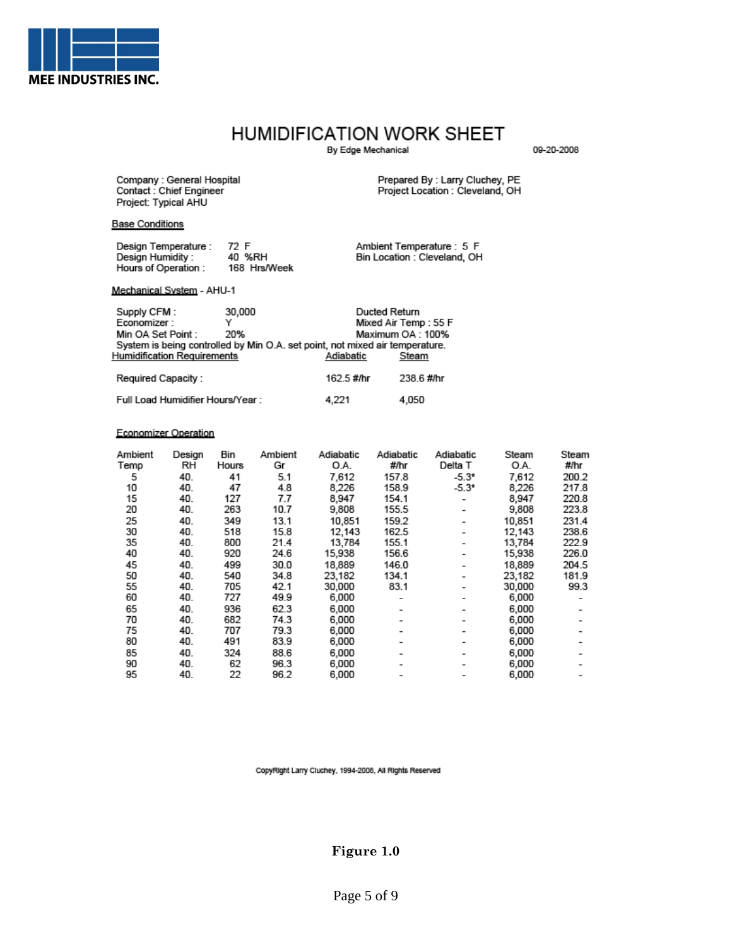

## HUMIDIFICATION WORK SHEET

By Edge Mechanical

09-20-2008

Company : General Hospital<br>Contact : Chief Engineer Project: Typical AHU

Prepared By : Larry Cluchey, PE<br>Project Location : Cleveland, OH

#### **Base Conditions**

| Design Temperature: | 72 F         | Ambient Temperature: 5 F     |
|---------------------|--------------|------------------------------|
| Design Humidity :   | 40 %RH       | Bin Location : Cleveland, OH |
| Hours of Operation: | 168 Hrs/Week |                              |

#### Mechanical System - AHU-1

| Supply CFM:<br>Economizer:<br>Min OA Set Point : | 30,000<br>20% | Ducted Return                                                                             | Mixed Air Temp : 55 F<br>Maximum OA: 100% |
|--------------------------------------------------|---------------|-------------------------------------------------------------------------------------------|-------------------------------------------|
| <b>Humidification Requirements</b>               |               | System is being controlled by Min O.A. set point, not mixed air temperature.<br>Adiabatic | Steam                                     |
| Required Capacity:                               |               | 162.5 #/hr                                                                                | 238.6 #/hr                                |
| Full Load Humidifier Hours/Year:                 |               | 4.221                                                                                     | 4.050                                     |

#### **Economizer Operation**

| Ambient<br>Design | Adiabatic<br>Adiabatic<br>Steam             | Steam |
|-------------------|---------------------------------------------|-------|
| Temp              | #/hr<br>O.A.<br>Delta T                     | #/hr  |
| 5                 | 157.8<br>$-5.3*$<br>7,612                   | 200.2 |
| 10                | 8,226<br>158.9<br>$-5.3*$                   | 217.8 |
| 15                | 154.1<br>8,947<br>۰                         | 220.8 |
| 20                | 155.5<br>9,808<br>۰                         | 223.8 |
| 25                | 159.2<br>10,851<br>$\overline{\phantom{0}}$ | 231.4 |
| 30                | 162.5<br>12,143<br>۰                        | 238.6 |
| 35                | 155.1<br>13,784                             | 222.9 |
| 40                | 156.6<br>15,938<br>۰                        | 226.0 |
| 45                | 146.0<br>18,889<br>۰                        | 204.5 |
| 50                | 134.1<br>23,182<br>۰                        | 181.9 |
| 55                | 83.1<br>30,000                              | 99.3  |
| 60                | 6,000<br>۰                                  |       |
| 65                | 6,000<br>۰                                  |       |
| 70                | 6,000                                       |       |
| 75                | 6,000                                       |       |
| 80                | 6,000                                       |       |
| 85                | 6,000                                       |       |
| 90                | 6,000                                       |       |
| 95                | 6,000                                       |       |
|                   |                                             |       |

CopyRight Larry Cluchey, 1994-2008, All Rights Reserved

## Figure 1.0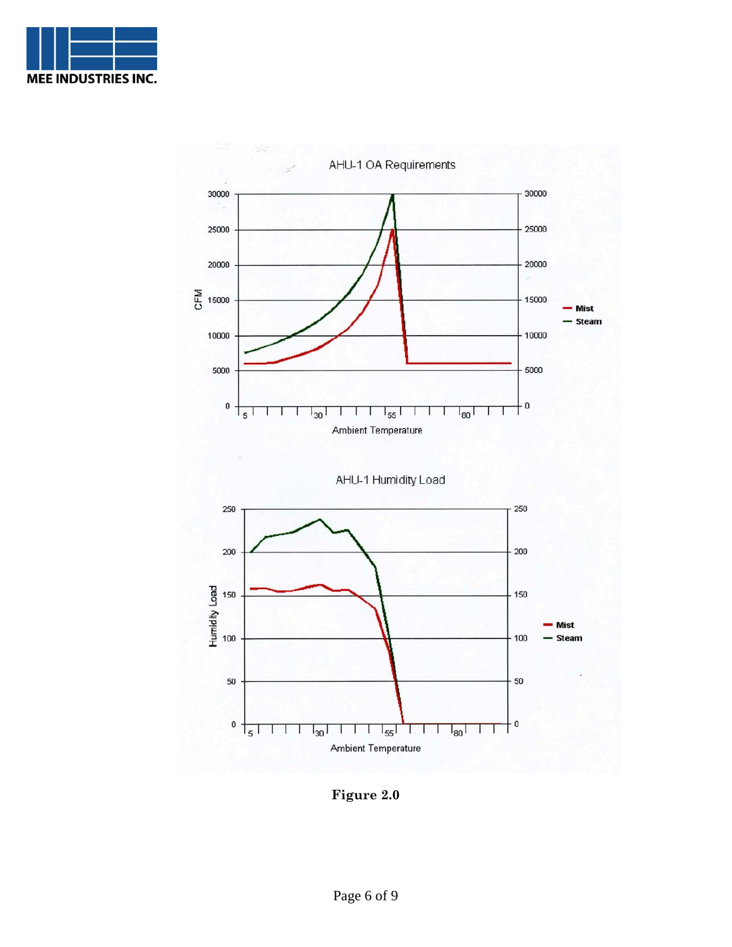



**Figure 2.0**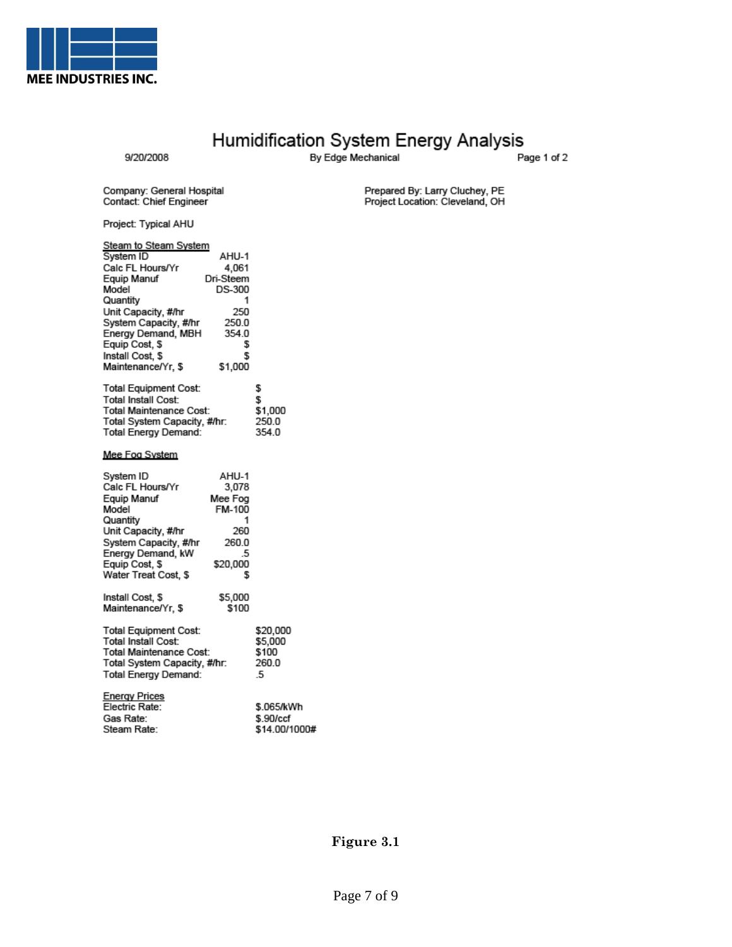

# Humidification System Energy Analysis<br>By Edge Mechanical

9/20/2008

Page 1 of 2

Company: General Hospital<br>Contact: Chief Engineer

Project: Typical AHU

| <b>Steam to Steam System</b> |           |         |
|------------------------------|-----------|---------|
| System ID                    | AHU-1     |         |
| Calc FL Hours/Yr             | 4,061     |         |
| Equip Manuf                  | Dri-Steem |         |
| Model                        | DS-300    |         |
| Quantity                     | 1         |         |
| Unit Capacity, #/hr          | 250       |         |
| System Capacity, #/hr        | 250.0     |         |
| Energy Demand, MBH           | 354.0     |         |
| Equip Cost, \$               | \$        |         |
| Install Cost, \$             | \$        |         |
| Maintenance/Yr, \$           | \$1,000   |         |
| <b>Total Equipment Cost:</b> |           | \$      |
| Total Install Cost:          |           | S       |
| Total Maintenance Cost:      |           | \$1,000 |
| Total System Capacity, #/hr: |           | 250.0   |
| Total Energy Demand:         |           | 354.0   |
| Mee Fog System               |           |         |
| System ID                    | AHU-1     |         |
| Calc FL Hours/Yr             | 3,078     |         |
| Equip Manuf                  | Mee Fog   |         |
| Model                        | FM-100    |         |

Prepared By: Larry Cluchey, PE<br>Project Location: Cleveland, OH

| System ID                    | AHU-1    |          |
|------------------------------|----------|----------|
| Calc FL Hours/Yr             | 3,078    |          |
| Equip Manuf                  | Mee Fog  |          |
| Model                        | FM-100   |          |
| Quantity                     | 1        |          |
| Unit Capacity, #/hr          | 260      |          |
| System Capacity, #/hr        | 260.0    |          |
| Energy Demand, kW            | .5       |          |
| Equip Cost, \$               | \$20,000 |          |
| Water Treat Cost, \$         | S        |          |
| Install Cost, \$             | \$5,000  |          |
| Maintenance/Yr, \$           | \$100    |          |
| <b>Total Equipment Cost:</b> |          | \$20,000 |
| Total Install Cost:          |          | \$5,000  |
| Total Maintenance Cost:      | \$100    |          |
| Total System Capacity, #/hr: | 260.0    |          |
| <b>Total Energy Demand:</b>  |          | -5       |
| <b>Energy Prices</b>         |          |          |

| <b>LIGRATILICS</b><br>Electric Rate: | \$.065/kWh    |
|--------------------------------------|---------------|
| Gas Rate:                            | \$.90/ccf     |
| Steam Rate:                          | \$14.00/1000# |
|                                      |               |

## Figure 3.1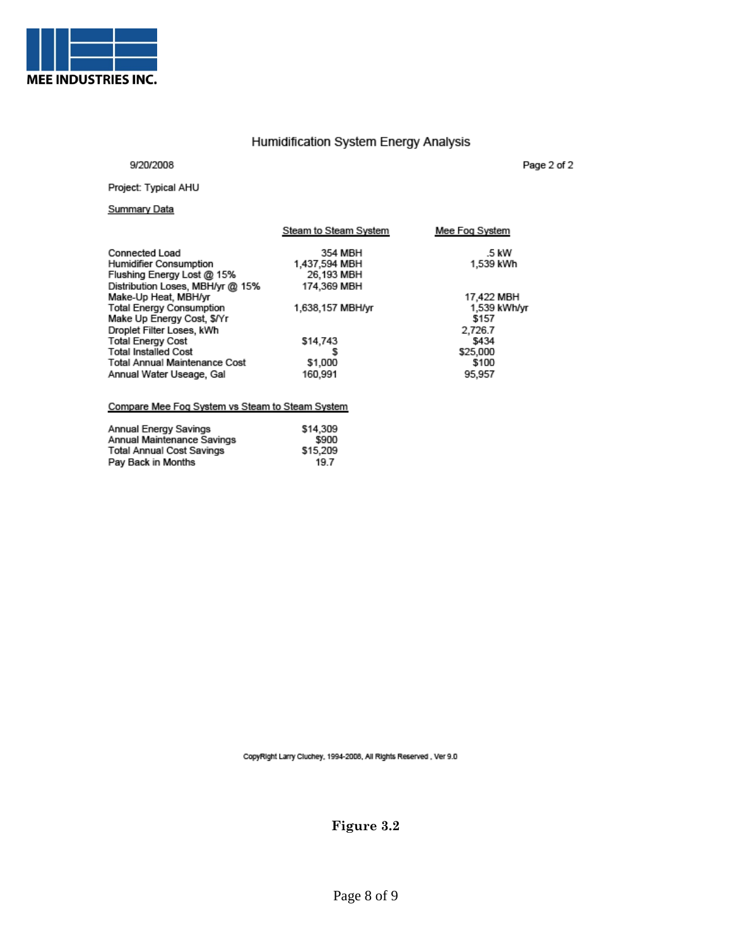

## Humidification System Energy Analysis

#### 9/20/2008

Page 2 of 2

#### Project: Typical AHU

### **Summary Data**

|                                      | Steam to Steam System | Mee Fog System |
|--------------------------------------|-----------------------|----------------|
| <b>Connected Load</b>                | 354 MBH               | .5 kW          |
| Humidifier Consumption               | 1.437,594 MBH         | 1,539 kWh      |
| Flushing Energy Lost @ 15%           | 26,193 MBH            |                |
| Distribution Loses, MBH/yr @ 15%     | 174,369 MBH           |                |
| Make-Up Heat, MBH/yr                 |                       | 17,422 MBH     |
| <b>Total Energy Consumption</b>      | 1,638,157 MBH/yr      | 1,539 kWh/yr   |
| Make Up Energy Cost, \$/Yr           |                       | \$157          |
| Droplet Filter Loses, kWh            |                       | 2,726.7        |
| <b>Total Energy Cost</b>             | \$14,743              | \$434          |
| <b>Total Installed Cost</b>          | s                     | \$25,000       |
| <b>Total Annual Maintenance Cost</b> | \$1,000               | \$100          |
| Annual Water Useage, Gal             | 160.991               | 95,957         |
|                                      |                       |                |

#### Compare Mee Fog System vs Steam to Steam System

| Annual Energy Savings      | \$14,309 |
|----------------------------|----------|
| Annual Maintenance Savings | \$900    |
| Total Annual Cost Savings  | \$15,209 |
| Pay Back in Months         | 19.7     |

CopyRight Larry Cluchey, 1994-2008, All Rights Reserved, Ver 9.0

Figure 3.2